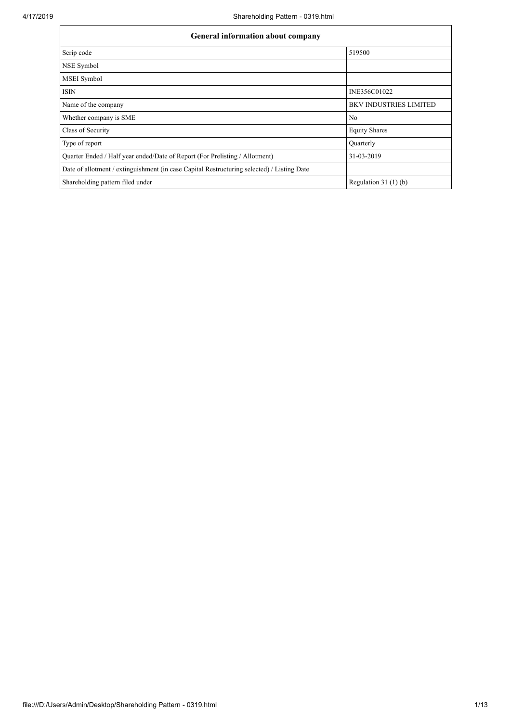| <b>General information about company</b>                                                   |                               |  |  |  |  |  |  |  |
|--------------------------------------------------------------------------------------------|-------------------------------|--|--|--|--|--|--|--|
| Scrip code                                                                                 | 519500                        |  |  |  |  |  |  |  |
| NSE Symbol                                                                                 |                               |  |  |  |  |  |  |  |
| MSEI Symbol                                                                                |                               |  |  |  |  |  |  |  |
| <b>ISIN</b>                                                                                | INE356C01022                  |  |  |  |  |  |  |  |
| Name of the company                                                                        | <b>BKV INDUSTRIES LIMITED</b> |  |  |  |  |  |  |  |
| Whether company is SME                                                                     | No                            |  |  |  |  |  |  |  |
| Class of Security                                                                          | <b>Equity Shares</b>          |  |  |  |  |  |  |  |
| Type of report                                                                             | Ouarterly                     |  |  |  |  |  |  |  |
| Quarter Ended / Half year ended/Date of Report (For Prelisting / Allotment)                | 31-03-2019                    |  |  |  |  |  |  |  |
| Date of allotment / extinguishment (in case Capital Restructuring selected) / Listing Date |                               |  |  |  |  |  |  |  |
| Shareholding pattern filed under                                                           | Regulation $31(1)(b)$         |  |  |  |  |  |  |  |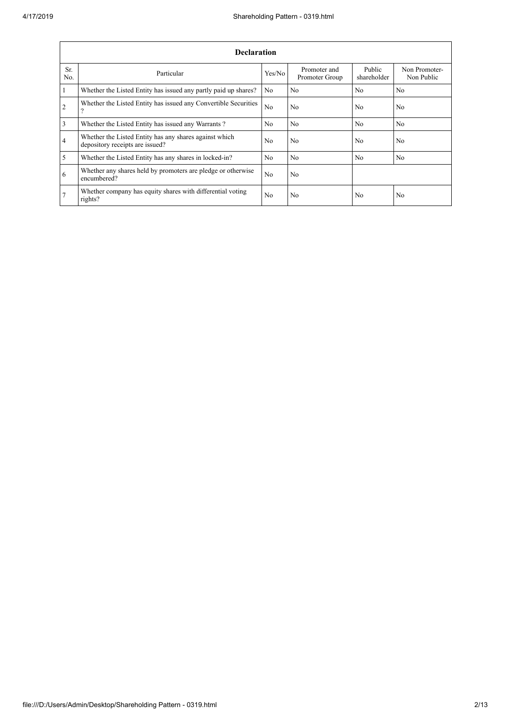|                | <b>Declaration</b>                                                                        |                |                                |                       |                             |  |  |  |  |  |  |
|----------------|-------------------------------------------------------------------------------------------|----------------|--------------------------------|-----------------------|-----------------------------|--|--|--|--|--|--|
| Sr.<br>No.     | Particular                                                                                | Yes/No         | Promoter and<br>Promoter Group | Public<br>shareholder | Non Promoter-<br>Non Public |  |  |  |  |  |  |
| $\vert$ 1      | Whether the Listed Entity has issued any partly paid up shares?                           | N <sub>o</sub> | No                             | No                    | N <sub>0</sub>              |  |  |  |  |  |  |
| $\overline{2}$ | Whether the Listed Entity has issued any Convertible Securities<br>$\overline{?}$         | N <sub>o</sub> | No                             | N <sub>o</sub>        | N <sub>o</sub>              |  |  |  |  |  |  |
| $\overline{3}$ | Whether the Listed Entity has issued any Warrants?                                        | No.            | N <sub>0</sub>                 | No                    | N <sub>0</sub>              |  |  |  |  |  |  |
| $\overline{4}$ | Whether the Listed Entity has any shares against which<br>depository receipts are issued? | No             | No                             | N <sub>0</sub>        | No.                         |  |  |  |  |  |  |
| $\overline{5}$ | Whether the Listed Entity has any shares in locked-in?                                    | No.            | No                             | No                    | No                          |  |  |  |  |  |  |
| 6              | Whether any shares held by promoters are pledge or otherwise<br>encumbered?               | N <sub>o</sub> | No                             |                       |                             |  |  |  |  |  |  |
| 7              | Whether company has equity shares with differential voting<br>rights?                     | No             | No                             | N <sub>o</sub>        | No                          |  |  |  |  |  |  |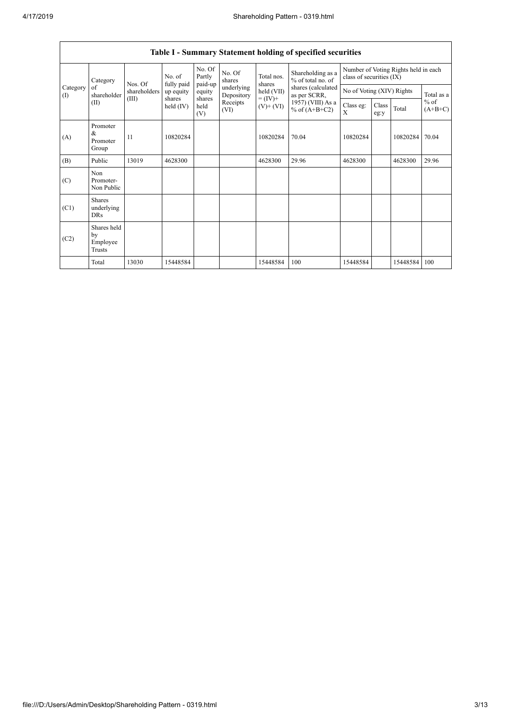$\overline{\phantom{a}}$ 

|                       | Table I - Summary Statement holding of specified securities |                   |                     |                       |                          |                          |                                        |                                                                  |               |          |                     |  |
|-----------------------|-------------------------------------------------------------|-------------------|---------------------|-----------------------|--------------------------|--------------------------|----------------------------------------|------------------------------------------------------------------|---------------|----------|---------------------|--|
| Category<br>of<br>(1) | Category                                                    | No. of<br>Nos. Of | fully paid          | No. Of<br>Partly      | No. Of<br>shares         | Total nos.<br>shares     | Shareholding as a<br>% of total no. of | Number of Voting Rights held in each<br>class of securities (IX) |               |          |                     |  |
|                       | shareholder                                                 | shareholders      | up equity           | paid-up<br>equity     | underlying<br>Depository | held (VII)               | shares (calculated<br>as per SCRR,     | No of Voting (XIV) Rights                                        |               |          | Total as a          |  |
|                       | (II)                                                        | (III)             | shares<br>held (IV) | shares<br>held<br>(V) | Receipts<br>(VI)         | $= (IV) +$<br>$(V)+(VI)$ | 1957) (VIII) As a<br>% of $(A+B+C2)$   | Class eg:<br>X                                                   | Class<br>eg:y | Total    | $%$ of<br>$(A+B+C)$ |  |
| (A)                   | Promoter<br>&<br>Promoter<br>Group                          | 11                | 10820284            |                       |                          | 10820284                 | 70.04                                  | 10820284                                                         |               | 10820284 | 70.04               |  |
| (B)                   | Public                                                      | 13019             | 4628300             |                       |                          | 4628300                  | 29.96                                  | 4628300                                                          |               | 4628300  | 29.96               |  |
| (C)                   | Non<br>Promoter-<br>Non Public                              |                   |                     |                       |                          |                          |                                        |                                                                  |               |          |                     |  |
| (C1)                  | Shares<br>underlying<br><b>DRs</b>                          |                   |                     |                       |                          |                          |                                        |                                                                  |               |          |                     |  |
| (C2)                  | Shares held<br>by<br>Employee<br>Trusts                     |                   |                     |                       |                          |                          |                                        |                                                                  |               |          |                     |  |
|                       | Total                                                       | 13030             | 15448584            |                       |                          | 15448584                 | 100                                    | 15448584                                                         |               | 15448584 | 100                 |  |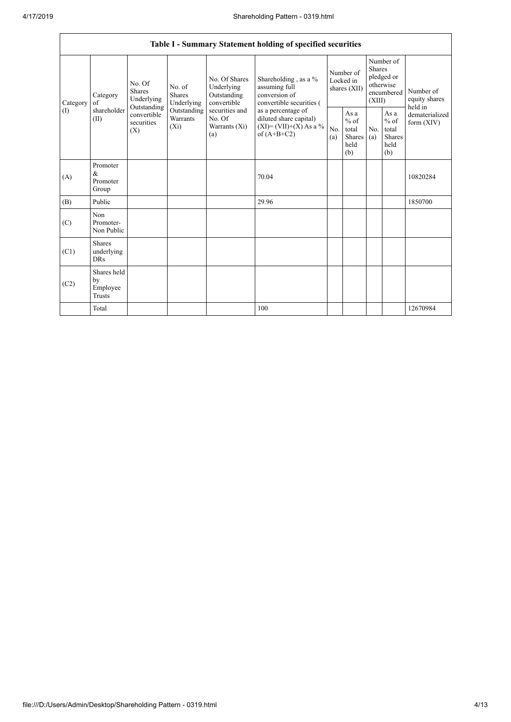|                                        | Table I - Summary Statement holding of specified securities                                                                       |                                    |                                                  |                                                                                            |                                                                                    |                                                  |            |                                                                               |                                |                                       |  |
|----------------------------------------|-----------------------------------------------------------------------------------------------------------------------------------|------------------------------------|--------------------------------------------------|--------------------------------------------------------------------------------------------|------------------------------------------------------------------------------------|--------------------------------------------------|------------|-------------------------------------------------------------------------------|--------------------------------|---------------------------------------|--|
| Category<br>$\left( \mathrm{I}\right)$ | No. Of<br><b>Shares</b><br>Category<br>Underlying<br>of<br>Outstanding<br>shareholder<br>convertible<br>(II)<br>securities<br>(X) |                                    | No. of<br><b>Shares</b><br>Underlying            | No. Of Shares<br>Underlying<br>Outstanding<br>convertible                                  | Shareholding, as a %<br>assuming full<br>conversion of<br>convertible securities ( | Number of<br>Locked in<br>shares (XII)           |            | Number of<br><b>Shares</b><br>pledged or<br>otherwise<br>encumbered<br>(XIII) |                                | Number of<br>equity shares<br>held in |  |
|                                        |                                                                                                                                   | Outstanding<br>Warrants<br>$(X_i)$ | securities and<br>No. Of<br>Warrants (Xi)<br>(a) | as a percentage of<br>diluted share capital)<br>$(XI) = (VII)+(X) As a %$<br>of $(A+B+C2)$ | No.<br>(a)                                                                         | As a<br>$%$ of<br>total<br>Shares<br>held<br>(b) | No.<br>(a) | As a<br>$%$ of<br>total<br><b>Shares</b><br>held<br>(b)                       | dematerialized<br>form $(XIV)$ |                                       |  |
| (A)                                    | Promoter<br>$\&$<br>Promoter<br>Group                                                                                             |                                    |                                                  |                                                                                            | 70.04                                                                              |                                                  |            |                                                                               |                                | 10820284                              |  |
| (B)                                    | Public                                                                                                                            |                                    |                                                  |                                                                                            | 29.96                                                                              |                                                  |            |                                                                               |                                | 1850700                               |  |
| (C)                                    | Non<br>Promoter-<br>Non Public                                                                                                    |                                    |                                                  |                                                                                            |                                                                                    |                                                  |            |                                                                               |                                |                                       |  |
| (C1)                                   | <b>Shares</b><br>underlying<br><b>DRs</b>                                                                                         |                                    |                                                  |                                                                                            |                                                                                    |                                                  |            |                                                                               |                                |                                       |  |
| (C2)                                   | Shares held<br>by<br>Employee<br><b>Trusts</b>                                                                                    |                                    |                                                  |                                                                                            |                                                                                    |                                                  |            |                                                                               |                                |                                       |  |
|                                        | Total                                                                                                                             |                                    |                                                  |                                                                                            | 100                                                                                |                                                  |            |                                                                               |                                | 12670984                              |  |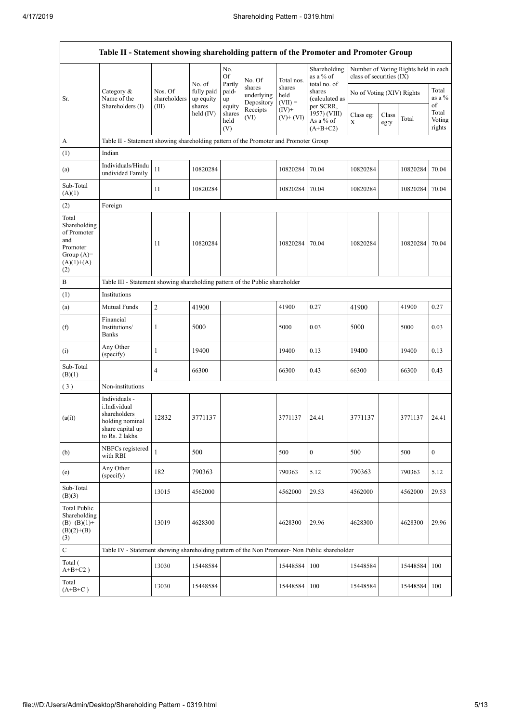$\overline{1}$ 

|                                                                                                | Table II - Statement showing shareholding pattern of the Promoter and Promoter Group                    |                         |                                                  |                                 |                                    |                             |                                                      |                           |               |                                      |                           |
|------------------------------------------------------------------------------------------------|---------------------------------------------------------------------------------------------------------|-------------------------|--------------------------------------------------|---------------------------------|------------------------------------|-----------------------------|------------------------------------------------------|---------------------------|---------------|--------------------------------------|---------------------------|
|                                                                                                |                                                                                                         |                         | No. of                                           | No.<br>Of<br>Partly             | No. Of                             | Total nos.                  | Shareholding<br>as a % of<br>total no. of            | class of securities (IX)  |               | Number of Voting Rights held in each |                           |
| Sr.                                                                                            | Category &<br>Name of the                                                                               | Nos. Of<br>shareholders | fully paid<br>up equity<br>shares<br>held $(IV)$ | paid-<br>up                     | shares<br>underlying<br>Depository | shares<br>held<br>$(VII) =$ | shares<br>(calculated as                             | No of Voting (XIV) Rights |               |                                      | Total<br>as a $%$<br>of   |
|                                                                                                | Shareholders (I)                                                                                        | (III)                   |                                                  | equity<br>shares<br>held<br>(V) | Receipts<br>(VI)                   | $(IV)$ +<br>$(V)$ + $(V)$   | per SCRR,<br>1957) (VIII)<br>As a % of<br>$(A+B+C2)$ | Class eg:<br>$\mathbf X$  | Class<br>eg:y | Total                                | Total<br>Voting<br>rights |
| А                                                                                              | Table II - Statement showing shareholding pattern of the Promoter and Promoter Group                    |                         |                                                  |                                 |                                    |                             |                                                      |                           |               |                                      |                           |
| (1)                                                                                            | Indian                                                                                                  |                         |                                                  |                                 |                                    |                             |                                                      |                           |               |                                      |                           |
| (a)                                                                                            | Individuals/Hindu<br>undivided Family                                                                   | 11                      | 10820284                                         |                                 |                                    | 10820284                    | 70.04                                                | 10820284                  |               | 10820284                             | 70.04                     |
| Sub-Total<br>(A)(1)                                                                            |                                                                                                         | 11                      | 10820284                                         |                                 |                                    | 10820284                    | 70.04                                                | 10820284                  |               | 10820284                             | 70.04                     |
| (2)                                                                                            | Foreign                                                                                                 |                         |                                                  |                                 |                                    |                             |                                                      |                           |               |                                      |                           |
| Total<br>Shareholding<br>of Promoter<br>and<br>Promoter<br>Group $(A)=$<br>$(A)(1)+(A)$<br>(2) |                                                                                                         | 11                      | 10820284                                         |                                 |                                    | 10820284                    | 70.04                                                | 10820284                  |               | 10820284                             | 70.04                     |
| B                                                                                              | Table III - Statement showing shareholding pattern of the Public shareholder                            |                         |                                                  |                                 |                                    |                             |                                                      |                           |               |                                      |                           |
| (1)                                                                                            | Institutions                                                                                            |                         |                                                  |                                 |                                    |                             |                                                      |                           |               |                                      |                           |
| (a)                                                                                            | Mutual Funds                                                                                            | $\overline{2}$          | 41900                                            |                                 |                                    | 41900                       | 0.27                                                 | 41900                     |               | 41900                                | 0.27                      |
| (f)                                                                                            | Financial<br>Institutions/<br>Banks                                                                     | 1                       | 5000                                             |                                 |                                    | 5000                        | 0.03                                                 | 5000                      |               | 5000                                 | 0.03                      |
| (i)                                                                                            | Any Other<br>(specify)                                                                                  | 1                       | 19400                                            |                                 |                                    | 19400                       | 0.13                                                 | 19400                     |               | 19400                                | 0.13                      |
| Sub-Total<br>(B)(1)                                                                            |                                                                                                         | 4                       | 66300                                            |                                 |                                    | 66300                       | 0.43                                                 | 66300                     |               | 66300                                | 0.43                      |
| (3)                                                                                            | Non-institutions                                                                                        |                         |                                                  |                                 |                                    |                             |                                                      |                           |               |                                      |                           |
| (a(i))                                                                                         | Individuals -<br>i.Individual<br>shareholders<br>holding nominal<br>share capital up<br>to Rs. 2 lakhs. | 12832                   | 3771137                                          |                                 |                                    | 3771137                     | 24.41                                                | 3771137                   |               | 3771137                              | 24.41                     |
| (b)                                                                                            | NBFCs registered<br>with RBI                                                                            | $\mathbf{1}$            | 500                                              |                                 |                                    | 500                         | $\mathbf{0}$                                         | 500                       |               | 500                                  | $\mathbf{0}$              |
| (e)                                                                                            | Any Other<br>(specify)                                                                                  | 182                     | 790363                                           |                                 |                                    | 790363                      | 5.12                                                 | 790363                    |               | 790363                               | 5.12                      |
| Sub-Total<br>(B)(3)                                                                            |                                                                                                         | 13015                   | 4562000                                          |                                 |                                    | 4562000                     | 29.53                                                | 4562000                   |               | 4562000                              | 29.53                     |
| <b>Total Public</b><br>Shareholding<br>$(B)=(B)(1)+$<br>$(B)(2)+(B)$<br>(3)                    |                                                                                                         | 13019                   | 4628300                                          |                                 |                                    | 4628300                     | 29.96                                                | 4628300                   |               | 4628300                              | 29.96                     |
| $\mathbf C$                                                                                    | Table IV - Statement showing shareholding pattern of the Non Promoter- Non Public shareholder           |                         |                                                  |                                 |                                    |                             |                                                      |                           |               |                                      |                           |
| Total (<br>$A+B+C2$ )                                                                          |                                                                                                         | 13030                   | 15448584                                         |                                 |                                    | 15448584                    | 100                                                  | 15448584                  |               | 15448584                             | 100                       |
| Total<br>$(A+B+C)$                                                                             |                                                                                                         | 13030                   | 15448584                                         |                                 |                                    | 15448584                    | 100                                                  | 15448584                  |               | 15448584                             | 100                       |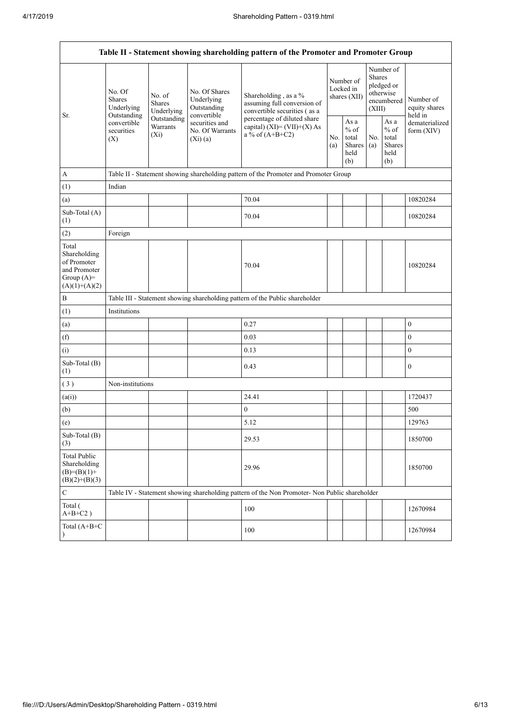|                                                                                         | Table II - Statement showing shareholding pattern of the Promoter and Promoter Group                                                                                    |                                              |                                                                                    |                                                                                               |                                                         |                                        |                                                  |                                                                               |                                       |  |  |
|-----------------------------------------------------------------------------------------|-------------------------------------------------------------------------------------------------------------------------------------------------------------------------|----------------------------------------------|------------------------------------------------------------------------------------|-----------------------------------------------------------------------------------------------|---------------------------------------------------------|----------------------------------------|--------------------------------------------------|-------------------------------------------------------------------------------|---------------------------------------|--|--|
|                                                                                         | No. Of<br>No. of<br><b>Shares</b><br><b>Shares</b><br>Underlying<br>Underlying<br>Outstanding<br>Outstanding<br>convertible<br>Warrants<br>securities<br>$(X_i)$<br>(X) |                                              | No. Of Shares<br>Underlying<br>Outstanding<br>convertible                          | Shareholding, as a %<br>assuming full conversion of<br>convertible securities (as a           |                                                         | Number of<br>Locked in<br>shares (XII) |                                                  | Number of<br><b>Shares</b><br>pledged or<br>otherwise<br>encumbered<br>(XIII) | Number of<br>equity shares<br>held in |  |  |
| Sr.                                                                                     |                                                                                                                                                                         | securities and<br>No. Of Warrants<br>(Xi)(a) | percentage of diluted share<br>capital) $(XI) = (VII)+(X) As$<br>a % of $(A+B+C2)$ |                                                                                               | As a<br>$%$ of<br>No.<br>total<br>Shares<br>held<br>(b) | No.<br>(a)                             | As a<br>$%$ of<br>total<br>Shares<br>held<br>(b) | dematerialized<br>form $(XIV)$                                                |                                       |  |  |
| A                                                                                       |                                                                                                                                                                         |                                              |                                                                                    | Table II - Statement showing shareholding pattern of the Promoter and Promoter Group          |                                                         |                                        |                                                  |                                                                               |                                       |  |  |
| (1)                                                                                     | Indian                                                                                                                                                                  |                                              |                                                                                    |                                                                                               |                                                         |                                        |                                                  |                                                                               |                                       |  |  |
| (a)                                                                                     |                                                                                                                                                                         |                                              |                                                                                    | 70.04                                                                                         |                                                         |                                        |                                                  |                                                                               | 10820284                              |  |  |
| Sub-Total (A)<br>(1)                                                                    |                                                                                                                                                                         |                                              |                                                                                    | 70.04                                                                                         |                                                         |                                        |                                                  |                                                                               | 10820284                              |  |  |
| (2)                                                                                     | Foreign                                                                                                                                                                 |                                              |                                                                                    |                                                                                               |                                                         |                                        |                                                  |                                                                               |                                       |  |  |
| Total<br>Shareholding<br>of Promoter<br>and Promoter<br>Group $(A)=$<br>$(A)(1)+(A)(2)$ |                                                                                                                                                                         |                                              |                                                                                    | 70.04                                                                                         |                                                         |                                        |                                                  |                                                                               | 10820284                              |  |  |
| B                                                                                       |                                                                                                                                                                         |                                              |                                                                                    | Table III - Statement showing shareholding pattern of the Public shareholder                  |                                                         |                                        |                                                  |                                                                               |                                       |  |  |
| (1)                                                                                     | Institutions                                                                                                                                                            |                                              |                                                                                    |                                                                                               |                                                         |                                        |                                                  |                                                                               |                                       |  |  |
| (a)                                                                                     |                                                                                                                                                                         |                                              |                                                                                    | 0.27                                                                                          |                                                         |                                        |                                                  |                                                                               | $\boldsymbol{0}$                      |  |  |
| (f)                                                                                     |                                                                                                                                                                         |                                              |                                                                                    | 0.03                                                                                          |                                                         |                                        |                                                  |                                                                               | $\mathbf{0}$                          |  |  |
| (i)                                                                                     |                                                                                                                                                                         |                                              |                                                                                    | 0.13                                                                                          |                                                         |                                        |                                                  |                                                                               | $\boldsymbol{0}$                      |  |  |
| Sub-Total (B)<br>(1)                                                                    |                                                                                                                                                                         |                                              |                                                                                    | 0.43                                                                                          |                                                         |                                        |                                                  |                                                                               | $\boldsymbol{0}$                      |  |  |
| (3)                                                                                     | Non-institutions                                                                                                                                                        |                                              |                                                                                    |                                                                                               |                                                         |                                        |                                                  |                                                                               |                                       |  |  |
| (a(i))                                                                                  |                                                                                                                                                                         |                                              |                                                                                    | 24.41                                                                                         |                                                         |                                        |                                                  |                                                                               | 1720437                               |  |  |
| (b)                                                                                     |                                                                                                                                                                         |                                              |                                                                                    | $\mathbf{0}$                                                                                  |                                                         |                                        |                                                  |                                                                               | 500                                   |  |  |
| (e)                                                                                     |                                                                                                                                                                         |                                              |                                                                                    | 5.12                                                                                          |                                                         |                                        |                                                  |                                                                               | 129763                                |  |  |
| Sub-Total (B)<br>(3)                                                                    |                                                                                                                                                                         |                                              |                                                                                    | 29.53                                                                                         |                                                         |                                        |                                                  |                                                                               | 1850700                               |  |  |
| Total Public<br>Shareholding<br>$(B)= (B)(1) +$<br>$(B)(2)+(B)(3)$                      |                                                                                                                                                                         |                                              |                                                                                    | 29.96                                                                                         |                                                         |                                        |                                                  |                                                                               | 1850700                               |  |  |
| $\mathbf C$                                                                             |                                                                                                                                                                         |                                              |                                                                                    | Table IV - Statement showing shareholding pattern of the Non Promoter- Non Public shareholder |                                                         |                                        |                                                  |                                                                               |                                       |  |  |
| Total (<br>$A+B+C2$ )                                                                   |                                                                                                                                                                         |                                              |                                                                                    | 100                                                                                           |                                                         |                                        |                                                  |                                                                               | 12670984                              |  |  |
| Total $(A+B+C)$<br>$\mathcal{E}$                                                        |                                                                                                                                                                         |                                              |                                                                                    | 100                                                                                           |                                                         |                                        |                                                  |                                                                               | 12670984                              |  |  |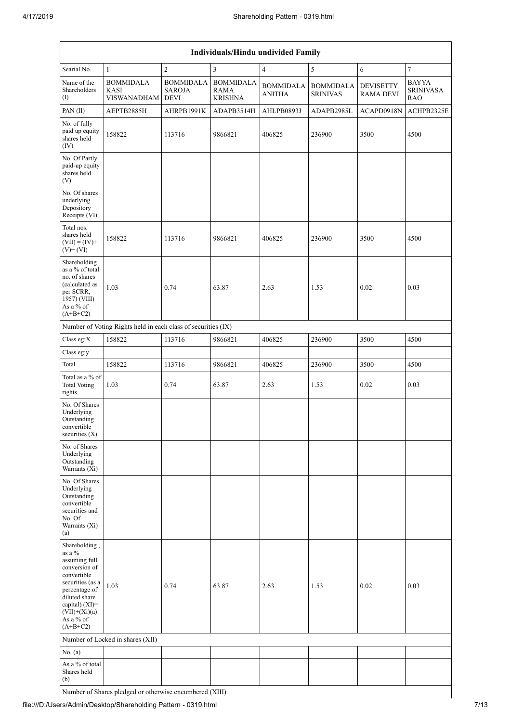|                                                                                                                                                                                                | Individuals/Hindu undivided Family                            |                                                  |                                                   |                                   |                                     |                                      |                                                |  |  |  |  |
|------------------------------------------------------------------------------------------------------------------------------------------------------------------------------------------------|---------------------------------------------------------------|--------------------------------------------------|---------------------------------------------------|-----------------------------------|-------------------------------------|--------------------------------------|------------------------------------------------|--|--|--|--|
| Searial No.                                                                                                                                                                                    | $\mathbf{1}$                                                  | $\overline{2}$                                   | $\overline{3}$                                    | $\overline{4}$                    | 5                                   | $\sqrt{6}$                           | $\boldsymbol{7}$                               |  |  |  |  |
| Name of the<br>Shareholders<br>$\left( \mathrm{I}\right)$                                                                                                                                      | <b>BOMMIDALA</b><br>KASI<br><b>VISWANADHAM</b>                | <b>BOMMIDALA</b><br><b>SAROJA</b><br><b>DEVI</b> | <b>BOMMIDALA</b><br><b>RAMA</b><br><b>KRISHNA</b> | <b>BOMMIDALA</b><br><b>ANITHA</b> | <b>BOMMIDALA</b><br><b>SRINIVAS</b> | <b>DEVISETTY</b><br><b>RAMA DEVI</b> | <b>BAYYA</b><br><b>SRINIVASA</b><br><b>RAO</b> |  |  |  |  |
| PAN(II)                                                                                                                                                                                        | AEPTB2885H                                                    | AHRPB1991K                                       | ADAPB3514H                                        | AHLPB0893J                        | ADAPB2985L                          | ACAPD0918N                           | ACHPB2325E                                     |  |  |  |  |
| No. of fully<br>paid up equity<br>shares held<br>(IV)                                                                                                                                          | 158822                                                        | 113716                                           | 9866821                                           | 406825                            | 236900                              | 3500                                 | 4500                                           |  |  |  |  |
| No. Of Partly<br>paid-up equity<br>shares held<br>(V)                                                                                                                                          |                                                               |                                                  |                                                   |                                   |                                     |                                      |                                                |  |  |  |  |
| No. Of shares<br>underlying<br>Depository<br>Receipts (VI)                                                                                                                                     |                                                               |                                                  |                                                   |                                   |                                     |                                      |                                                |  |  |  |  |
| Total nos.<br>shares held<br>$(VII) = (IV) +$<br>$(V)$ + $(VI)$                                                                                                                                | 158822                                                        | 113716                                           | 9866821                                           | 406825                            | 236900                              | 3500                                 | 4500                                           |  |  |  |  |
| Shareholding<br>as a % of total<br>no. of shares<br>(calculated as<br>per SCRR,<br>1957) (VIII)<br>As a % of<br>$(A+B+C2)$                                                                     | 1.03                                                          | 0.74                                             | 63.87                                             | 2.63                              | 1.53                                | 0.02                                 | 0.03                                           |  |  |  |  |
|                                                                                                                                                                                                | Number of Voting Rights held in each class of securities (IX) |                                                  |                                                   |                                   |                                     |                                      |                                                |  |  |  |  |
| Class eg:X                                                                                                                                                                                     | 158822                                                        | 113716                                           | 9866821                                           | 406825                            | 236900                              | 3500                                 | 4500                                           |  |  |  |  |
| Class eg:y                                                                                                                                                                                     |                                                               |                                                  |                                                   |                                   |                                     |                                      |                                                |  |  |  |  |
| Total                                                                                                                                                                                          | 158822                                                        | 113716                                           | 9866821                                           | 406825                            | 236900                              | 3500                                 | 4500                                           |  |  |  |  |
| Total as a $\%$ of<br><b>Total Voting</b><br>rights                                                                                                                                            | 1.03                                                          | 0.74                                             | 63.87                                             | 2.63                              | 1.53                                | 0.02                                 | 0.03                                           |  |  |  |  |
| No. Of Shares<br>Underlying<br>Outstanding<br>convertible<br>securities (X)                                                                                                                    |                                                               |                                                  |                                                   |                                   |                                     |                                      |                                                |  |  |  |  |
| No. of Shares<br>Underlying<br>Outstanding<br>Warrants (Xi)                                                                                                                                    |                                                               |                                                  |                                                   |                                   |                                     |                                      |                                                |  |  |  |  |
| No. Of Shares<br>Underlying<br>Outstanding<br>convertible<br>securities and<br>No. Of<br>Warrants (Xi)<br>(a)                                                                                  |                                                               |                                                  |                                                   |                                   |                                     |                                      |                                                |  |  |  |  |
| Shareholding,<br>as a %<br>assuming full<br>conversion of<br>convertible<br>securities (as a<br>percentage of<br>diluted share<br>capital) (XI)=<br>$(VII)+(Xi)(a)$<br>As a % of<br>$(A+B+C2)$ | 1.03                                                          | 0.74                                             | 63.87                                             | 2.63                              | 1.53                                | 0.02                                 | 0.03                                           |  |  |  |  |
|                                                                                                                                                                                                | Number of Locked in shares (XII)                              |                                                  |                                                   |                                   |                                     |                                      |                                                |  |  |  |  |
| No. (a)                                                                                                                                                                                        |                                                               |                                                  |                                                   |                                   |                                     |                                      |                                                |  |  |  |  |
| As a % of total<br>Shares held<br>(b)                                                                                                                                                          |                                                               |                                                  |                                                   |                                   |                                     |                                      |                                                |  |  |  |  |

Number of Shares pledged or otherwise encumbered (XIII)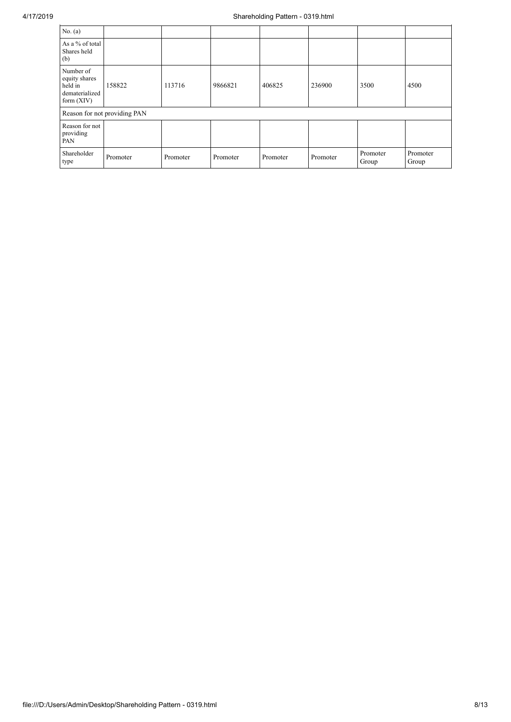| No. (a)                                                                 |                              |          |          |          |          |                   |                   |
|-------------------------------------------------------------------------|------------------------------|----------|----------|----------|----------|-------------------|-------------------|
| As a % of total<br>Shares held<br>(b)                                   |                              |          |          |          |          |                   |                   |
| Number of<br>equity shares<br>held in<br>dematerialized<br>form $(XIV)$ | 158822                       | 113716   | 9866821  | 406825   | 236900   | 3500              | 4500              |
|                                                                         | Reason for not providing PAN |          |          |          |          |                   |                   |
| Reason for not<br>providing<br>PAN                                      |                              |          |          |          |          |                   |                   |
| Shareholder<br>type                                                     | Promoter                     | Promoter | Promoter | Promoter | Promoter | Promoter<br>Group | Promoter<br>Group |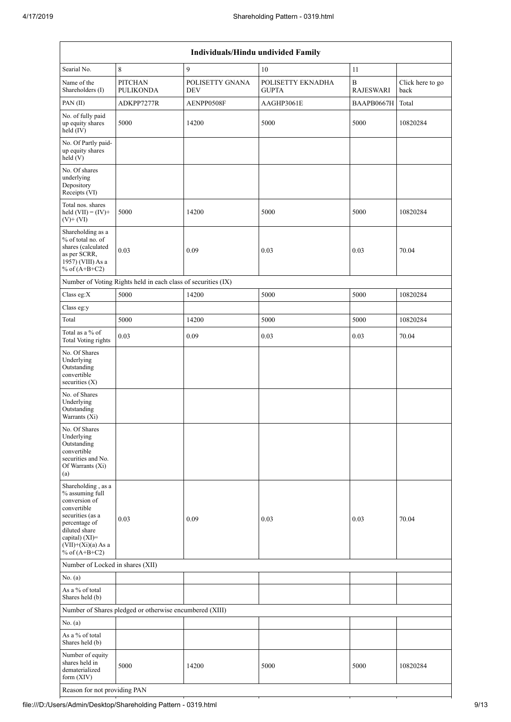| <b>Individuals/Hindu undivided Family</b>                                                                                                                                                   |                                                               |                               |                                   |                                      |                          |  |  |  |  |  |
|---------------------------------------------------------------------------------------------------------------------------------------------------------------------------------------------|---------------------------------------------------------------|-------------------------------|-----------------------------------|--------------------------------------|--------------------------|--|--|--|--|--|
| Searial No.                                                                                                                                                                                 | 8                                                             | 9                             | $10\,$                            | 11                                   |                          |  |  |  |  |  |
| Name of the<br>Shareholders (I)                                                                                                                                                             | <b>PITCHAN</b><br><b>PULIKONDA</b>                            | POLISETTY GNANA<br><b>DEV</b> | POLISETTY EKNADHA<br><b>GUPTA</b> | $\boldsymbol{B}$<br><b>RAJESWARI</b> | Click here to go<br>back |  |  |  |  |  |
| PAN(II)                                                                                                                                                                                     | ADKPP7277R                                                    | AENPP0508F                    | AAGHP3061E                        | BAAPB0667H                           | Total                    |  |  |  |  |  |
| No. of fully paid<br>up equity shares<br>held (IV)                                                                                                                                          | 5000                                                          | 14200                         | 5000                              | 5000                                 | 10820284                 |  |  |  |  |  |
| No. Of Partly paid-<br>up equity shares<br>held (V)                                                                                                                                         |                                                               |                               |                                   |                                      |                          |  |  |  |  |  |
| No. Of shares<br>underlying<br>Depository<br>Receipts (VI)                                                                                                                                  |                                                               |                               |                                   |                                      |                          |  |  |  |  |  |
| Total nos. shares<br>held $(VII) = (IV) +$<br>$(V)$ + $(VI)$                                                                                                                                | 5000                                                          | 14200                         | 5000                              | 5000                                 | 10820284                 |  |  |  |  |  |
| Shareholding as a<br>% of total no. of<br>shares (calculated<br>as per SCRR,<br>1957) (VIII) As a<br>% of $(A+B+C2)$                                                                        | 0.03                                                          | 0.09                          | 0.03                              | 0.03                                 | 70.04                    |  |  |  |  |  |
|                                                                                                                                                                                             | Number of Voting Rights held in each class of securities (IX) |                               |                                   |                                      |                          |  |  |  |  |  |
| Class eg:X                                                                                                                                                                                  | 5000                                                          | 14200                         | 5000                              | 5000                                 | 10820284                 |  |  |  |  |  |
| Class eg:y                                                                                                                                                                                  |                                                               |                               |                                   |                                      |                          |  |  |  |  |  |
| Total                                                                                                                                                                                       | 5000                                                          | 14200                         | 5000                              | 5000                                 | 10820284                 |  |  |  |  |  |
| Total as a % of<br><b>Total Voting rights</b>                                                                                                                                               | 0.03                                                          | 0.09                          | 0.03                              | 0.03                                 | 70.04                    |  |  |  |  |  |
| No. Of Shares<br>Underlying<br>Outstanding<br>convertible<br>securities (X)                                                                                                                 |                                                               |                               |                                   |                                      |                          |  |  |  |  |  |
| No. of Shares<br>Underlying<br>Outstanding<br>Warrants $(Xi)$                                                                                                                               |                                                               |                               |                                   |                                      |                          |  |  |  |  |  |
| No. Of Shares<br>Underlying<br>Outstanding<br>convertible<br>securities and No.<br>Of Warrants (Xi)<br>(a)                                                                                  |                                                               |                               |                                   |                                      |                          |  |  |  |  |  |
| Shareholding, as a<br>% assuming full<br>conversion of<br>convertible<br>securities (as a<br>percentage of<br>diluted share<br>capital) $(XI)$ =<br>$(VII)+(Xi)(a)$ As a<br>% of $(A+B+C2)$ | 0.03                                                          | 0.09                          | 0.03                              | 0.03                                 | 70.04                    |  |  |  |  |  |
| Number of Locked in shares (XII)                                                                                                                                                            |                                                               |                               |                                   |                                      |                          |  |  |  |  |  |
| No. (a)                                                                                                                                                                                     |                                                               |                               |                                   |                                      |                          |  |  |  |  |  |
| As a % of total<br>Shares held (b)                                                                                                                                                          |                                                               |                               |                                   |                                      |                          |  |  |  |  |  |
|                                                                                                                                                                                             | Number of Shares pledged or otherwise encumbered (XIII)       |                               |                                   |                                      |                          |  |  |  |  |  |
| No. (a)                                                                                                                                                                                     |                                                               |                               |                                   |                                      |                          |  |  |  |  |  |
| As a % of total<br>Shares held (b)                                                                                                                                                          |                                                               |                               |                                   |                                      |                          |  |  |  |  |  |
| Number of equity<br>shares held in<br>dematerialized<br>form $(XIV)$                                                                                                                        | 5000                                                          | 14200                         | 5000                              | 5000                                 | 10820284                 |  |  |  |  |  |

Reason for not providing PAN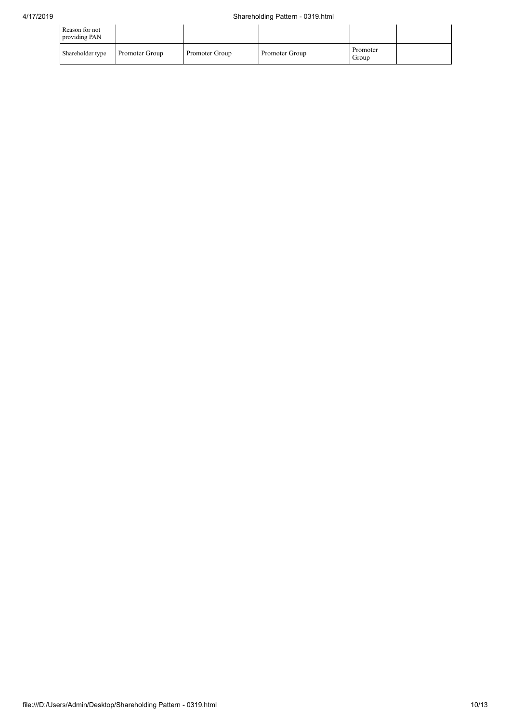| Reason for not<br>providing PAN |                |                |                |                   |  |
|---------------------------------|----------------|----------------|----------------|-------------------|--|
| Shareholder type                | Promoter Group | Promoter Group | Promoter Group | Promoter<br>Group |  |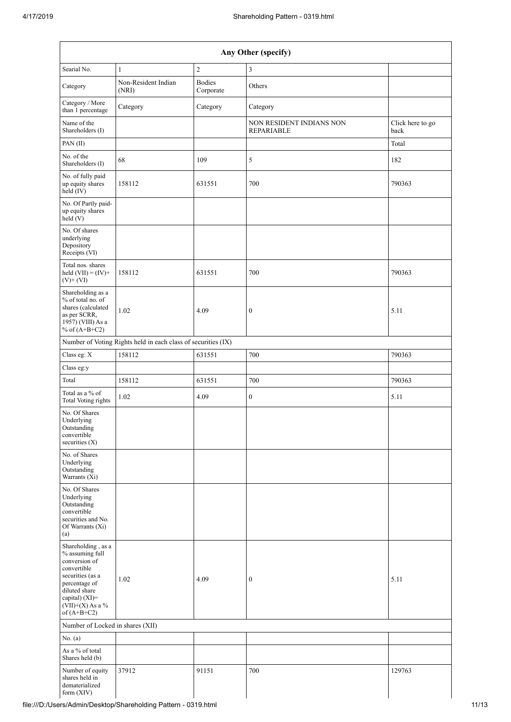| Any Other (specify)                                                                                                  |                                                               |                            |                                               |                          |  |  |  |  |  |  |
|----------------------------------------------------------------------------------------------------------------------|---------------------------------------------------------------|----------------------------|-----------------------------------------------|--------------------------|--|--|--|--|--|--|
| Searial No.                                                                                                          | $\mathbf{1}$                                                  | $\sqrt{2}$                 | 3                                             |                          |  |  |  |  |  |  |
| Category                                                                                                             | Non-Resident Indian<br>(NRI)                                  | <b>Bodies</b><br>Corporate | Others                                        |                          |  |  |  |  |  |  |
| Category / More<br>than 1 percentage                                                                                 | Category                                                      | Category                   | Category                                      |                          |  |  |  |  |  |  |
| Name of the<br>Shareholders (I)                                                                                      |                                                               |                            | NON RESIDENT INDIANS NON<br><b>REPARIABLE</b> | Click here to go<br>back |  |  |  |  |  |  |
| PAN(II)                                                                                                              |                                                               |                            |                                               | Total                    |  |  |  |  |  |  |
| No. of the<br>Shareholders (I)                                                                                       | 68                                                            | 109                        | 5                                             | 182                      |  |  |  |  |  |  |
| No. of fully paid<br>up equity shares<br>held (IV)                                                                   | 158112                                                        | 631551                     | 700                                           | 790363                   |  |  |  |  |  |  |
| No. Of Partly paid-<br>up equity shares<br>held (V)                                                                  |                                                               |                            |                                               |                          |  |  |  |  |  |  |
| No. Of shares<br>underlying<br>Depository<br>Receipts (VI)                                                           |                                                               |                            |                                               |                          |  |  |  |  |  |  |
| Total nos. shares<br>held $(VII) = (IV) +$<br>$(V)$ + $(VI)$                                                         | 158112                                                        | 631551                     | 700                                           | 790363                   |  |  |  |  |  |  |
| Shareholding as a<br>% of total no. of<br>shares (calculated<br>as per SCRR,<br>1957) (VIII) As a<br>% of $(A+B+C2)$ | 1.02                                                          | 4.09                       | $\boldsymbol{0}$                              | 5.11                     |  |  |  |  |  |  |
|                                                                                                                      | Number of Voting Rights held in each class of securities (IX) |                            |                                               |                          |  |  |  |  |  |  |
| Class eg: X                                                                                                          | 158112                                                        | 631551                     | 700                                           | 790363                   |  |  |  |  |  |  |
| Class eg:y                                                                                                           |                                                               |                            |                                               |                          |  |  |  |  |  |  |
| Total                                                                                                                | 158112                                                        | 631551                     | 700                                           | 790363                   |  |  |  |  |  |  |
| Total as a % of<br>Total Voting rights                                                                               | 1.02                                                          | 4.09                       | $\boldsymbol{0}$                              | 5.11                     |  |  |  |  |  |  |
| No. Of Shares<br>Underlying<br>Outstanding<br>convertible<br>securities $(X)$                                        |                                                               |                            |                                               |                          |  |  |  |  |  |  |
| No. of Shares<br>Underlying<br>Outstanding<br>Warrants (Xi)                                                          |                                                               |                            |                                               |                          |  |  |  |  |  |  |
| No. Of Shares<br>Underlying<br>Outstanding<br>convertible<br>securities and No.<br>Of Warrants (Xi)<br>(a)           |                                                               |                            |                                               |                          |  |  |  |  |  |  |
| Shareholding, as a<br>% assuming full<br>conversion of<br>convertible<br>securities (as a                            |                                                               |                            |                                               |                          |  |  |  |  |  |  |
| percentage of<br>diluted share<br>capital) (XI)=<br>$(VII)+(X)$ As a %<br>of $(A+B+C2)$                              | 1.02                                                          | 4.09                       | $\boldsymbol{0}$                              | 5.11                     |  |  |  |  |  |  |
| Number of Locked in shares (XII)                                                                                     |                                                               |                            |                                               |                          |  |  |  |  |  |  |
| No. (a)                                                                                                              |                                                               |                            |                                               |                          |  |  |  |  |  |  |
| As a % of total<br>Shares held (b)                                                                                   |                                                               |                            |                                               |                          |  |  |  |  |  |  |
| Number of equity<br>shares held in<br>dematerialized<br>form (XIV)                                                   | 37912                                                         | 91151                      | 700                                           | 129763                   |  |  |  |  |  |  |